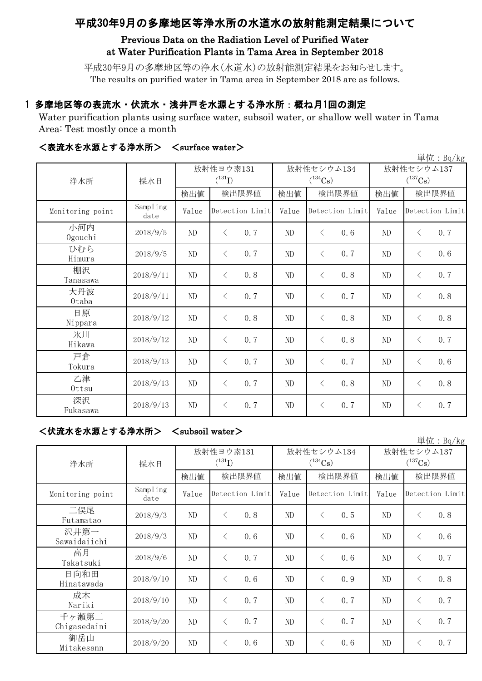# 平成30年9月の多摩地区等浄水所の水道水の放射能測定結果について

### Previous Data on the Radiation Level of Purified Water at Water Purification Plants in Tama Area in September 2018

平成30年9月の多摩地区等の浄水(水道水)の放射能測定結果をお知らせします。 The results on purified water in Tama area in September 2018 are as follows.

### 1 多摩地区等の表流水・伏流水・浅井戸を水源とする浄水所:概ね月1回の測定

Water purification plants using surface water, subsoil water, or shallow well water in Tama Area: Test mostly once a month

| 単位: $Bq/kg$      |                  |          |                          |          |                            |                                     |                  |  |  |  |
|------------------|------------------|----------|--------------------------|----------|----------------------------|-------------------------------------|------------------|--|--|--|
| 浄水所              | 採水日              |          | 放射性ヨウ素131<br>$(^{131}I)$ |          | 放射性セシウム134<br>$(^{134}Cs)$ | 放射性セシウム137<br>$(^{137}\mathrm{Cs})$ |                  |  |  |  |
|                  |                  | 検出値      | 検出限界値                    | 検出値      | 検出限界値                      | 検出値                                 | 検出限界値            |  |  |  |
| Monitoring point | Sampling<br>date | Value    | Detection Limit          | Value    | Detection Limit            | Value                               | Detection Limit  |  |  |  |
| 小河内<br>Ogouchi   | 2018/9/5         | ND       | 0.7<br>$\lt$             | $\rm ND$ | $\langle$<br>0.6           | ND                                  | 0.7<br>$\langle$ |  |  |  |
| ひむら<br>Himura    | 2018/9/5         | ND       | 0.7<br>$\lt$             | $\rm ND$ | 0.7<br>$\lt$               | ND                                  | 0.6<br>$\langle$ |  |  |  |
| 棚沢<br>Tanasawa   | 2018/9/11        | $\rm ND$ | 0.8<br>$\langle$         | ND       | 0.8<br>$\lt$               | ND                                  | 0.7<br>$\langle$ |  |  |  |
| 大丹波<br>0taba     | 2018/9/11        | ND       | 0.7<br>$\lt$             | ND       | 0.7<br>$\lt$               | ND                                  | 0.8<br>$\langle$ |  |  |  |
| 日原<br>Nippara    | 2018/9/12        | ND       | 0.8<br>$\langle$         | ND       | 0.8<br>$\langle$           | ND                                  | 0.8<br>$\langle$ |  |  |  |
| 氷川<br>Hikawa     | 2018/9/12        | ND       | 0.7<br>$\lt$             | ND       | 0.8<br>$\langle$           | ND                                  | 0.7<br>$\langle$ |  |  |  |
| 戸倉<br>Tokura     | 2018/9/13        | ND       | 0.7<br>$\lt$             | ND       | 0.7<br>$\langle$           | ND                                  | 0.6<br>$\langle$ |  |  |  |
| 乙津<br>Ottsu      | 2018/9/13        | ND       | 0.7<br>$\lt$             | $\rm ND$ | 0.8<br>$\langle$           | ND                                  | 0.8<br>$\langle$ |  |  |  |
| 深沢<br>Fukasawa   | 2018/9/13        | $\rm ND$ | 0.7<br>$\lt$             | ND       | 0.7<br>$\langle$           | ND                                  | 0.7<br>$\langle$ |  |  |  |

#### <表流水を水源とする浄水所> <surface water>

<伏流水を水源とする浄水所> <subsoil water>

|                       |                  |                          |                 |       |                            |                 |     |                            |                 | 単位: $Bq/kg$ |
|-----------------------|------------------|--------------------------|-----------------|-------|----------------------------|-----------------|-----|----------------------------|-----------------|-------------|
| 浄水所                   | 採水日              | 放射性ヨウ素131<br>$(^{131}I)$ |                 |       | 放射性セシウム134<br>$(^{134}Cs)$ |                 |     | 放射性セシウム137<br>$(^{137}Cs)$ |                 |             |
|                       |                  | 検出値                      |                 | 検出限界値 | 検出値                        | 検出限界値           |     | 検出値                        | 検出限界値           |             |
| Monitoring point      | Sampling<br>date | Value                    | Detection Limit |       | Value                      | Detection Limit |     | Value                      | Detection Limit |             |
| 二俣尾<br>Futamatao      | 2018/9/3         | ND                       | $\langle$       | 0.8   | ND                         | $\langle$       | 0.5 | ND                         | $\lt$           | 0.8         |
| 沢井第一<br>Sawaidaiichi  | 2018/9/3         | $\rm ND$                 | $\lt$           | 0.6   | ND                         | $\langle$       | 0.6 | ND                         | $\langle$       | 0.6         |
| 高月<br>Takatsuki       | 2018/9/6         | ND                       | $\langle$       | 0.7   | ND                         | $\langle$       | 0.6 | ND                         | $\langle$       | 0.7         |
| 日向和田<br>Hinatawada    | 2018/9/10        | $\rm ND$                 | $\lt$           | 0.6   | ND                         | $\langle$       | 0.9 | ND                         | $\langle$       | 0.8         |
| 成木<br>Nariki          | 2018/9/10        | $\rm ND$                 | $\langle$       | 0.7   | ND                         | ⟨               | 0.7 | ND                         | $\langle$       | 0.7         |
| 千ヶ瀬第二<br>Chigasedaini | 2018/9/20        | $\rm ND$                 | $\langle$       | 0.7   | ND                         | $\langle$       | 0.7 | ND                         | $\lt$           | 0.7         |
| 御岳山<br>Mitakesann     | 2018/9/20        | ND                       | $\langle$       | 0.6   | ND                         | $\lt$           | 0.6 | ND                         | $\langle$       | 0.7         |